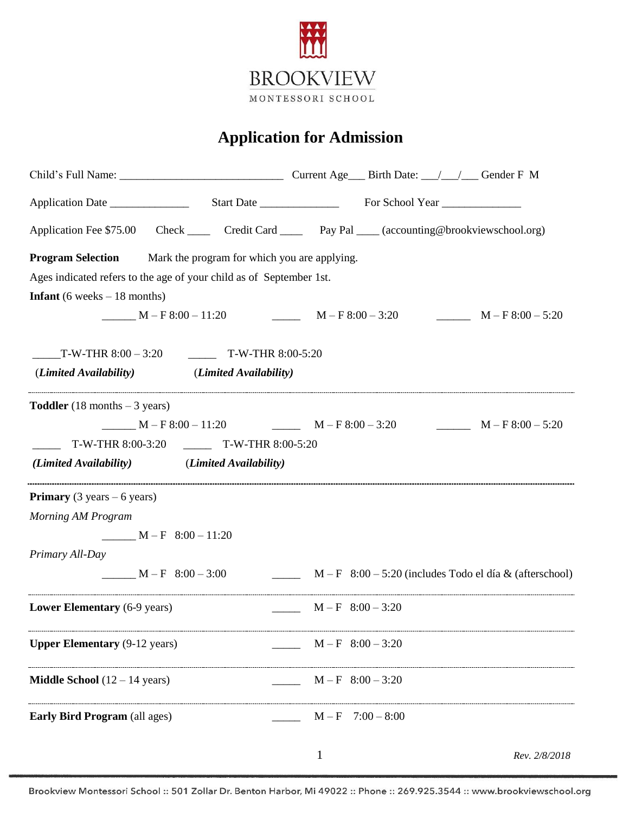

## **Application for Admission**

|                                                                                                                                          | Application Fee \$75.00 Check ______ Credit Card ______ Pay Pal ____ (accounting@brookviewschool.org) |  |  |  |  |  |  |
|------------------------------------------------------------------------------------------------------------------------------------------|-------------------------------------------------------------------------------------------------------|--|--|--|--|--|--|
| <b>Program Selection</b> Mark the program for which you are applying.                                                                    |                                                                                                       |  |  |  |  |  |  |
| Ages indicated refers to the age of your child as of September 1st.                                                                      |                                                                                                       |  |  |  |  |  |  |
| <b>Infant</b> (6 weeks $-18$ months)                                                                                                     |                                                                                                       |  |  |  |  |  |  |
| $M-F8:00-11:20$ $M-F8:00-3:20$                                                                                                           | $M-F8:00-5:20$                                                                                        |  |  |  |  |  |  |
| $T-W-THR 8:00 - 3:20$ $T-W-THR 8:00-5:20$                                                                                                |                                                                                                       |  |  |  |  |  |  |
| (Limited Availability) (Limited Availability)                                                                                            |                                                                                                       |  |  |  |  |  |  |
| <b>Toddler</b> (18 months $-3$ years)<br>T-W-THR 8:00-3:20 __________ T-W-THR 8:00-5:20<br>(Limited Availability) (Limited Availability) | $M-F8:00-11:20$ $M-F8:00-3:20$ $M-F8:00-5:20$                                                         |  |  |  |  |  |  |
| <b>Primary</b> (3 years $-6$ years)                                                                                                      |                                                                                                       |  |  |  |  |  |  |
| Morning AM Program                                                                                                                       |                                                                                                       |  |  |  |  |  |  |
| $M-F$ 8:00 - 11:20                                                                                                                       |                                                                                                       |  |  |  |  |  |  |
| Primary All-Day                                                                                                                          |                                                                                                       |  |  |  |  |  |  |
| $M-F$ 8:00 - 3:00                                                                                                                        | $M - F$ 8:00 - 5:20 (includes Todo el día & (afterschool)                                             |  |  |  |  |  |  |
| Lower Elementary (6-9 years)                                                                                                             | $M - F$ 8:00 - 3:20                                                                                   |  |  |  |  |  |  |
| <b>Upper Elementary (9-12 years)</b>                                                                                                     | $M - F$ 8:00 - 3:20                                                                                   |  |  |  |  |  |  |
| <b>Middle School</b> $(12 – 14 \text{ years})$                                                                                           | $M - F$ 8:00 - 3:20                                                                                   |  |  |  |  |  |  |
| <b>Early Bird Program</b> (all ages)                                                                                                     | $M - F$ 7:00 - 8:00                                                                                   |  |  |  |  |  |  |
|                                                                                                                                          | $\mathbf{1}$<br>Rev. 2/8/2018                                                                         |  |  |  |  |  |  |

Brookview Montessori School :: 501 Zollar Dr. Benton Harbor, Mi 49022 :: Phone :: 269.925.3544 :: www.brookviewschool.org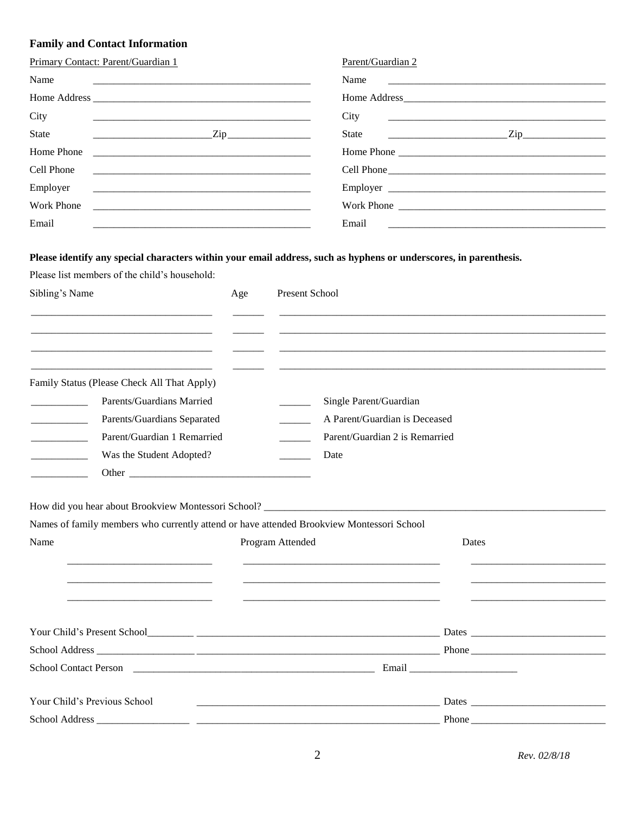## **Family and Contact Information**

| Primary Contact: Parent/Guardian 1                                                        | Parent/Guardian 2                     |
|-------------------------------------------------------------------------------------------|---------------------------------------|
| Name                                                                                      |                                       |
|                                                                                           | Home Address                          |
| City                                                                                      | City                                  |
| State                                                                                     | $\frac{1}{2}$ Zip<br>$\overline{Zip}$ |
|                                                                                           |                                       |
| Cell Phone                                                                                | Cell Phone                            |
| Employer<br><u> 2000 - Jan Alexander (h. 1888).</u><br>1900 - Johann Alexander (h. 1800). |                                       |
| Work Phone                                                                                |                                       |
| Email                                                                                     | Email                                 |
|                                                                                           |                                       |

## Please identify any special characters within your email address, such as hyphens or underscores, in parenthesis.

Please list members of the child's household:

| Sibling's Name                   |                                                      | Age | Present School                                                                                                |       |
|----------------------------------|------------------------------------------------------|-----|---------------------------------------------------------------------------------------------------------------|-------|
|                                  |                                                      |     |                                                                                                               |       |
|                                  |                                                      |     |                                                                                                               |       |
|                                  | Family Status (Please Check All That Apply)          |     |                                                                                                               |       |
| and the control of the con-      | Parents/Guardians Married                            |     | Single Parent/Guardian                                                                                        |       |
| and the company of the           | Parents/Guardians Separated                          |     | A Parent/Guardian is Deceased                                                                                 |       |
| <u> 1989 - Johann Barnett, f</u> | Parent/Guardian 1 Remarried                          |     | Parent/Guardian 2 is Remarried<br>$\sim$ 100 $\sim$                                                           |       |
| and the company of the           | Was the Student Adopted?                             |     | Date                                                                                                          |       |
|                                  |                                                      |     |                                                                                                               |       |
| Name                             |                                                      |     | Names of family members who currently attend or have attended Brookview Montessori School<br>Program Attended | Dates |
|                                  | <u> 1980 - Johann Stoff, Amerikaansk politiker (</u> |     |                                                                                                               |       |
|                                  |                                                      |     |                                                                                                               |       |
|                                  |                                                      |     |                                                                                                               |       |
|                                  |                                                      |     |                                                                                                               |       |
|                                  | Your Child's Previous School                         |     |                                                                                                               |       |
| School Address                   |                                                      |     |                                                                                                               | Phone |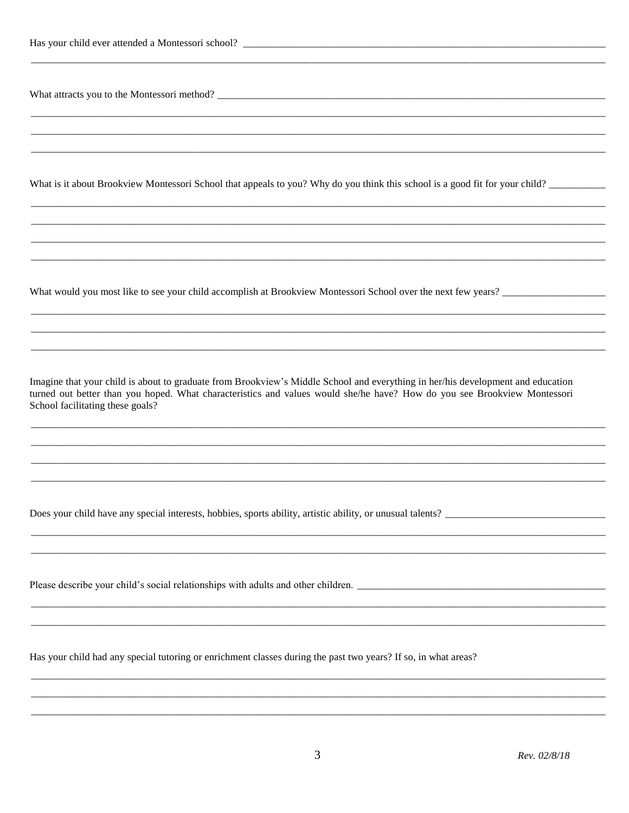What is it about Brookview Montessori School that appeals to you? Why do you think this school is a good fit for your child?

What would you most like to see your child accomplish at Brookview Montessori School over the next few years?

Imagine that your child is about to graduate from Brookview's Middle School and everything in her/his development and education turned out better than you hoped. What characteristics and values would she/he have? How do you see Brookview Montessori School facilitating these goals?

Does your child have any special interests, hobbies, sports ability, artistic ability, or unusual talents?

Please describe your child's social relationships with adults and other children.

Has your child had any special tutoring or enrichment classes during the past two years? If so, in what areas?